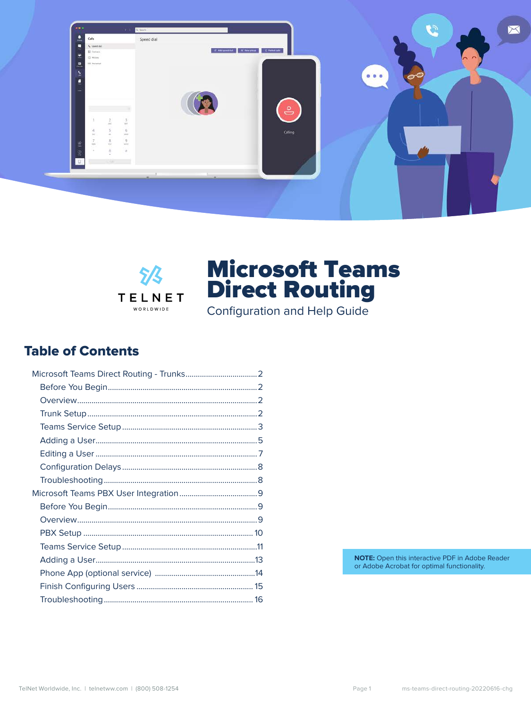



Configuration and Help Guide

### **Table of Contents**

NOTE: Open this interactive PDF in Adobe Reader or Adobe Acrobat for optimal functionality.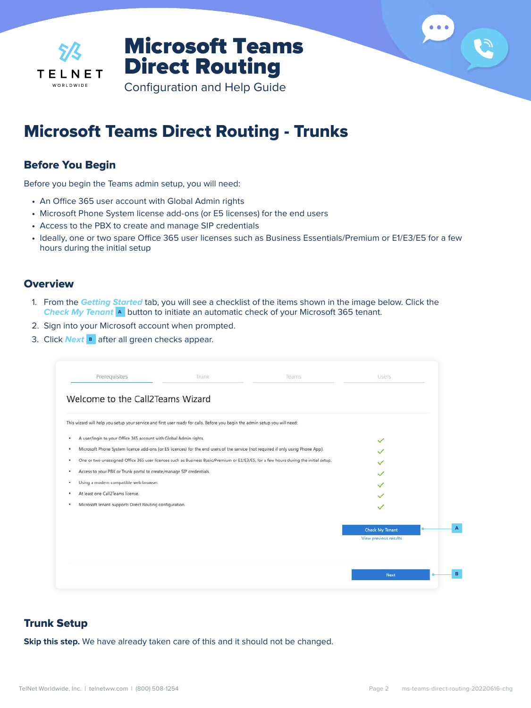<span id="page-1-0"></span>

Configuration and Help Guide

### Microsoft Teams Direct Routing - Trunks

### Before You Begin

Before you begin the Teams admin setup, you will need:

- **•** An Office 365 user account with Global Admin rights
- **•** Microsoft Phone System license add-ons (or E5 licenses) for the end users
- **•** Access to the PBX to create and manage SIP credentials
- **•** Ideally, one or two spare Office 365 user licenses such as Business Essentials/Premium or E1/E3/E5 for a few hours during the initial setup

#### **Overview**

- 1. From the **Getting Started** tab, you will see a checklist of the items shown in the image below. Click the **Check My Tenant A** button to initiate an automatic check of your Microsoft 365 tenant.
- 2. Sign into your Microsoft account when prompted.
- 3. Click **Next B** after all green checks appear.

| This wizard will help you setup your service and first user ready for calls. Before you begin the admin setup you will need: |                                                                                                                                      |                       |
|------------------------------------------------------------------------------------------------------------------------------|--------------------------------------------------------------------------------------------------------------------------------------|-----------------------|
| A user/login to your Office 365 account with Global Admin rights.                                                            |                                                                                                                                      |                       |
|                                                                                                                              | Microsoft Phone System licence add-ons (or E5 licences) for the end users of the service (not required if only using Phone App).     |                       |
|                                                                                                                              | One or two unassigned Office 365 user licenses such as Business Basic/Premium or E1/E3/E5, for a few hours during the initial setup. |                       |
| Access to your PBX or Trunk portal to create/manage SIP credentials.                                                         |                                                                                                                                      | $\checkmark$          |
| Using a modern compatible web browser.                                                                                       |                                                                                                                                      | ✓                     |
| At least one Call2Teams license.                                                                                             |                                                                                                                                      |                       |
| Microsoft tenant supports Direct Routing configuration.                                                                      |                                                                                                                                      |                       |
|                                                                                                                              |                                                                                                                                      | Check My Tenant       |
|                                                                                                                              |                                                                                                                                      | View previous results |

### Trunk Setup

**Skip this step.** We have already taken care of this and it should not be changed.

 $000$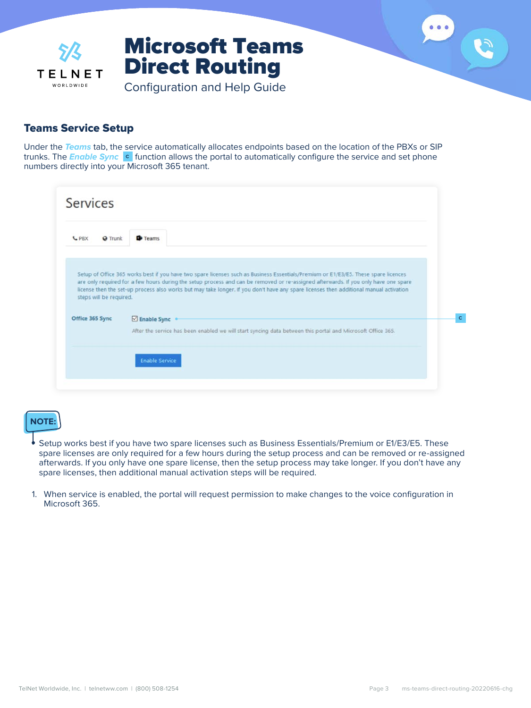<span id="page-2-0"></span>

### Teams Service Setup

Under the **Teams** tab, the service automatically allocates endpoints based on the location of the PBXs or SIP trunks. The **Enable Sync C** function allows the portal to automatically configure the service and set phone numbers directly into your Microsoft 365 tenant.

| <b>L</b> PBX<br><b>Q</b> Trunk             | <b>Teams</b>                                                                                                                                                                                                                                                                                                                                                                                                                        |
|--------------------------------------------|-------------------------------------------------------------------------------------------------------------------------------------------------------------------------------------------------------------------------------------------------------------------------------------------------------------------------------------------------------------------------------------------------------------------------------------|
|                                            |                                                                                                                                                                                                                                                                                                                                                                                                                                     |
| steps will be required.<br>Office 365 Sync | Setup of Office 365 works best if you have two spare licenses such as Business Essentials/Premium or E1/E3/E5. These spare licences<br>are only required for a few hours during the setup process and can be removed or re-assigned afterwards. If you only have one spare<br>license then the set-up process also works but may take longer. If you don't have any spare licenses then additional manual activation<br>Enable Sync |

### **NOTE:**

- **•** Setup works best if you have two spare licenses such as Business Essentials/Premium or E1/E3/E5. These spare licenses are only required for a few hours during the setup process and can be removed or re-assigned afterwards. If you only have one spare license, then the setup process may take longer. If you don't have any spare licenses, then additional manual activation steps will be required.
- 1. When service is enabled, the portal will request permission to make changes to the voice configuration in Microsoft 365.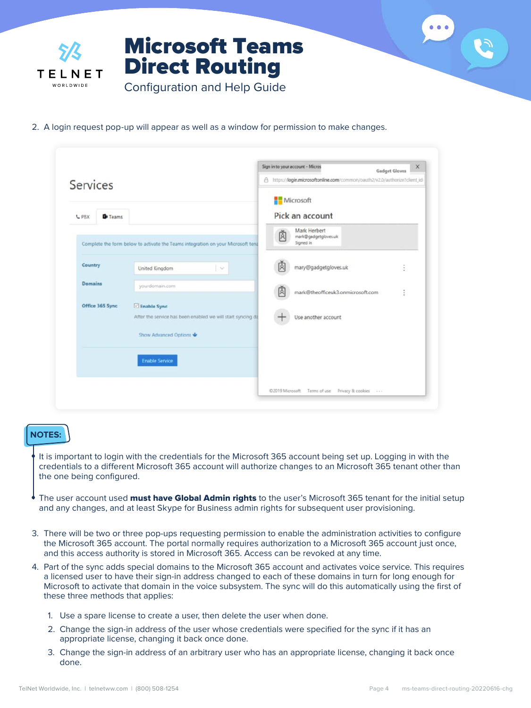

2. A login request pop-up will appear as well as a window for permission to make changes.

| Services |                 |                                                                                  | <b>Gadget Gloves</b><br>https://login.microsoftonline.com/common/oauth2/v2.0/authorize?client_id<br>a. |                                                   |  |  |
|----------|-----------------|----------------------------------------------------------------------------------|--------------------------------------------------------------------------------------------------------|---------------------------------------------------|--|--|
| L PBX    | <b>D</b> Teams  |                                                                                  |                                                                                                        | Microsoft<br>Pick an account                      |  |  |
|          |                 | Complete the form below to activate the Teams integration on your Microsoft tent | 虞                                                                                                      | Mark Herbert<br>mark@gadgetgloves.uk<br>Signed in |  |  |
| Country  |                 | United Kingdom<br>$\sim$                                                         |                                                                                                        | mary@gadgetgloves.uk<br>ł                         |  |  |
| Domains  |                 | yourdomain.com                                                                   |                                                                                                        | mark@theofficeuk3.onmicrosoft.com<br>î            |  |  |
|          | Office 365 Sync | Enable Sync<br>After the service has been enabled we will start syncing da       |                                                                                                        | Use another account                               |  |  |
|          |                 | Show Advanced Options<br><b>Enable Service</b>                                   |                                                                                                        |                                                   |  |  |
|          |                 |                                                                                  |                                                                                                        | ©2019 Microsoft Terms of use Privacy B: cookies   |  |  |

#### **NOTES:**

**•** It is important to login with the credentials for the Microsoft 365 account being set up. Logging in with the credentials to a different Microsoft 365 account will authorize changes to an Microsoft 365 tenant other than the one being configured.

- **•** The user account used must have Global Admin rights to the user's Microsoft 365 tenant for the initial setup and any changes, and at least Skype for Business admin rights for subsequent user provisioning.
- 3. There will be two or three pop-ups requesting permission to enable the administration activities to configure the Microsoft 365 account. The portal normally requires authorization to a Microsoft 365 account just once, and this access authority is stored in Microsoft 365. Access can be revoked at any time.
- 4. Part of the sync adds special domains to the Microsoft 365 account and activates voice service. This requires a licensed user to have their sign-in address changed to each of these domains in turn for long enough for Microsoft to activate that domain in the voice subsystem. The sync will do this automatically using the first of these three methods that applies:
	- 1. Use a spare license to create a user, then delete the user when done.
	- 2. Change the sign-in address of the user whose credentials were specified for the sync if it has an appropriate license, changing it back once done.
	- 3. Change the sign-in address of an arbitrary user who has an appropriate license, changing it back once done.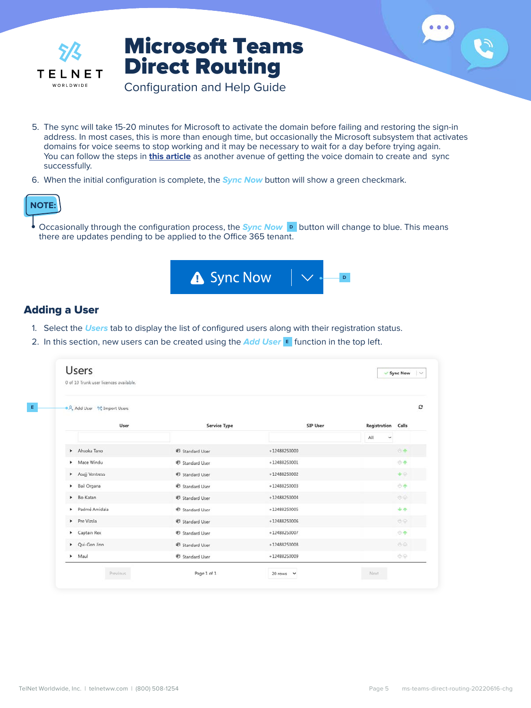<span id="page-4-0"></span>

Configuration and Help Guide

- 5. The sync will take 15-20 minutes for Microsoft to activate the domain before failing and restoring the sign-in address. In most cases, this is more than enough time, but occasionally the Microsoft subsystem that activates domains for voice seems to stop working and it may be necessary to wait for a day before trying again. You can follow the steps in **[this article](https://support.call2teams.com/support/solutions/articles/6000245376-persistent-domains-are-not-ready-in-office-365)** as another avenue of getting the voice domain to create and sync successfully.
- 6. When the initial configuration is complete, the **Sync Now** button will show a green checkmark.



**•** Occasionally through the configuration process, the **Sync Now D** button will change to blue. This means there are updates pending to be applied to the Office 365 tenant.



### Adding a User

- 1. Select the **Users** tab to display the list of configured users along with their registration status.
- 2. In this section, new users can be created using the **Add User E** function in the top left.

| 0 of 10 Trunk user licences available. |                            |                |                           |
|----------------------------------------|----------------------------|----------------|---------------------------|
| ● R Add User % Import Users            |                            |                |                           |
| User                                   | <b>Service Type</b>        | SIP User       | <b>Registration Calls</b> |
|                                        |                            |                | All<br>v                  |
| Ahsoka Tano                            | <b>VD</b> Standard User    | $+12488250000$ | 04                        |
| Mace Windu                             | <b>砂 Standard User</b>     | +12488250001   | 步奉                        |
| Asajj Ventress                         | <b>66</b> Standard User    | $+12488250002$ | 业金                        |
| Bail Organa                            | <b>砂 Standard User</b>     | +12488250003   | <b>OA</b>                 |
| Bo-Katan                               | <b>48</b> Standard User    | $+12488250004$ | 步命                        |
| Padmé Amidala                          | <sup>6</sup> Standard User | +12488250005   | 中小                        |
| Pre Vizsla                             | <b>ED</b> Standard User    | $+12488250006$ | 步命                        |
| Captain Rex                            | <b>砂 Standard User</b>     | +12488250007   | 业本                        |
| D Qui-Gon Jinn                         | <b>OB</b> Standard User    | $+12488250008$ | 步命                        |
| $M$ aul                                | <sup>6</sup> Standard User | +12488250009   | 步命                        |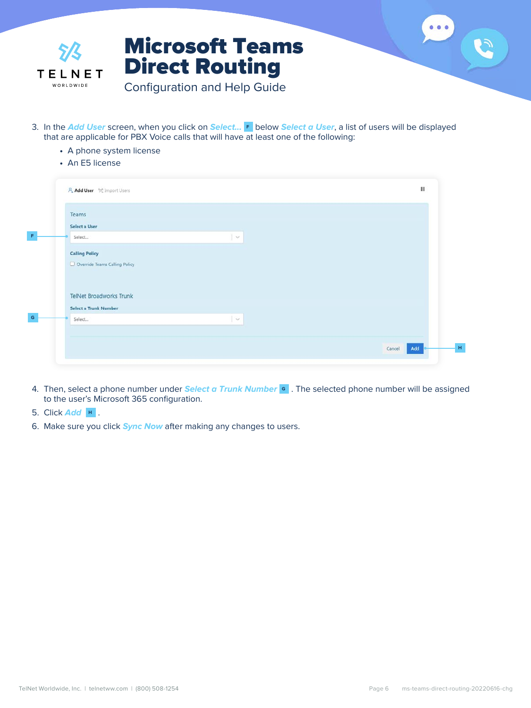

- 3. In the **Add User** screen, when you click on **Select... F** below **Select a User**, a list of users will be displayed that are applicable for PBX Voice calls that will have at least one of the following:
	- **•** A phone system license
	- **•** An E5 license

| Teams                          |                    |  |
|--------------------------------|--------------------|--|
| Select a User                  |                    |  |
| Select                         | $\mathcal{A}$      |  |
| <b>Calling Policy</b>          |                    |  |
| Override Teams Calling Policy  |                    |  |
|                                |                    |  |
|                                |                    |  |
| <b>TelNet Broadworks Trunk</b> |                    |  |
| Select a Trunk Number          |                    |  |
|                                | $\gamma_{\rm eff}$ |  |
|                                |                    |  |
| Select                         |                    |  |
|                                |                    |  |

- 4. Then, select a phone number under **Select a Trunk Number G** . The selected phone number will be assigned to the user's Microsoft 365 configuration.
- 5. Click **Add H** .
- 6. Make sure you click **Sync Now** after making any changes to users.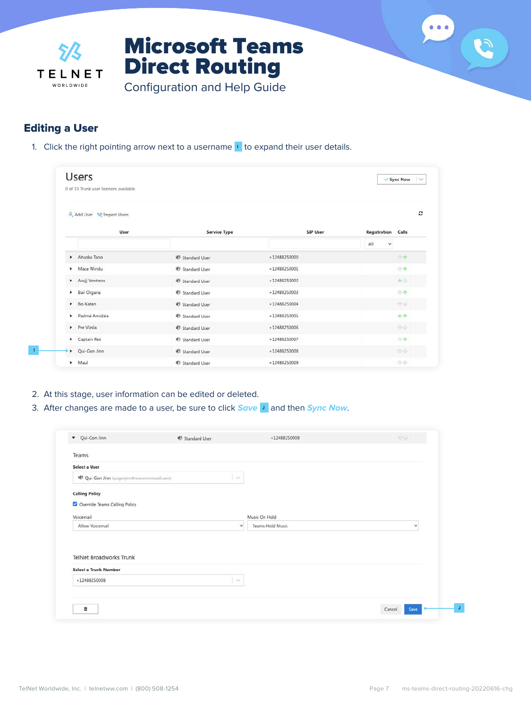<span id="page-6-0"></span>

### Editing a User

**I**

1. Click the right pointing arrow next to a username **I** to expand their user details.

| <b>Users</b>                   | 0 of 10 Trunk user licences available. |                               |                | Sync Now                  |
|--------------------------------|----------------------------------------|-------------------------------|----------------|---------------------------|
| A Add User "A" Import Users    |                                        |                               |                |                           |
|                                | User                                   | <b>Service Type</b>           | SIP User       | <b>Registration Calls</b> |
|                                |                                        |                               |                | All<br>v                  |
| Ahsoka Tano                    |                                        | <b>48</b> Standard User       | +12488250000   | 业本                        |
| Mace Windu                     |                                        | <b>砂 Standard User</b>        | +12488250001   | 小个                        |
| Asajj Ventress                 |                                        | <b><i>O</i></b> Standard User | +12488250002   | 业业                        |
| <b>Bail Organa</b><br>٠        |                                        | <b>砂 Standard User</b>        | +12488250003   | 市本                        |
| $\blacktriangleright$ Bo-Katan |                                        | <b>68</b> Standard User       | $+12488250004$ | 要命                        |
| Padmé Amidala                  |                                        | <b>砂 Standard User</b>        | +12488250005   | 44                        |
| Pre Vizsla                     |                                        | <sup>6</sup> Standard User    | +12488250006   | 步命                        |
| Captain Rex                    |                                        | <b>O</b> Standard User        | +12488250007   | 市平                        |
| Qui-Gon Jinn<br>$\bullet$      |                                        | <b>ED</b> Standard User       | $+12488250008$ | 步令                        |
|                                |                                        |                               |                |                           |

- 2. At this stage, user information can be edited or deleted.
- 3. After changes are made to a user, be sure to click **Save J** and then **Sync Now**.

| Teams<br><b>Select a User</b><br>6 Qui-Gon Jinn (quigonjinn@tww.anmicrosoft.com)<br>$\omega$<br><b>Calling Policy</b><br>Override Teams Calling Policy<br>Music On Hold<br>Voicemail |   |
|--------------------------------------------------------------------------------------------------------------------------------------------------------------------------------------|---|
|                                                                                                                                                                                      |   |
|                                                                                                                                                                                      |   |
|                                                                                                                                                                                      |   |
|                                                                                                                                                                                      |   |
|                                                                                                                                                                                      |   |
|                                                                                                                                                                                      |   |
| Allow Voicemail<br>Teams Hold Music<br>$\checkmark$                                                                                                                                  | v |
| TelNet Broadworks Trunk                                                                                                                                                              |   |
|                                                                                                                                                                                      |   |
| Select a Trunk Number                                                                                                                                                                |   |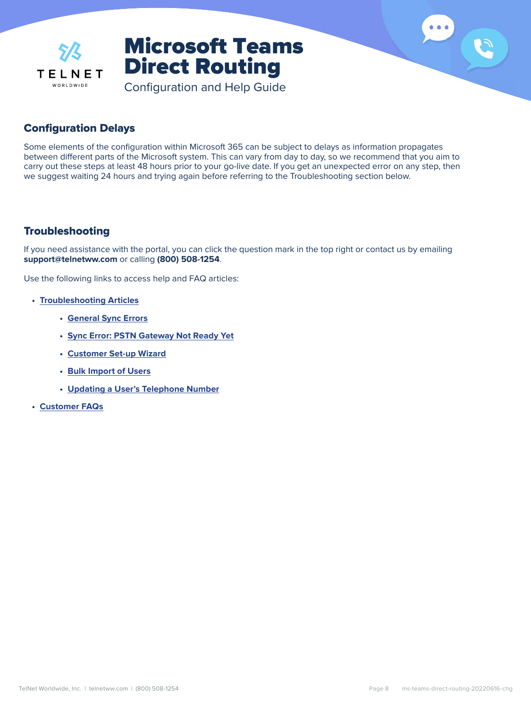<span id="page-7-0"></span>

Configuration and Help Guide

### Configuration Delays

Some elements of the configuration within Microsoft 365 can be subject to delays as information propagates between different parts of the Microsoft system. This can vary from day to day, so we recommend that you aim to carry out these steps at least 48 hours prior to your go-live date. If you get an unexpected error on any step, then we suggest waiting 24 hours and trying again before referring to the Troubleshooting section below.

### **Troubleshooting**

If you need assistance with the portal, you can click the question mark in the top right or contact us by emailing **support@telnetww.com** or calling **(800) 508-1254**.

Use the following links to access help and FAQ articles:

- **• [Troubleshooting Articles](https://support.call2teams.com/support/solutions/folders/6000239367/page/1?url_locale=)**
	- **• [General Sync Errors](https://support.call2teams.com/support/solutions/articles/6000244692-sync-errors)**
	- **• [Sync Error: PSTN Gateway Not Ready Yet](https://support.call2teams.com/support/solutions/articles/6000245376-persistent-domains-are-not-ready-in-office-365)**
	- **• [Customer Set-up Wizard](https://support.call2teams.com/support/solutions/articles/6000244825-setup-wizard)**
	- **• [Bulk Import of Users](https://support.call2teams.com/support/solutions/articles/6000244694-users-bulk-import)**
	- **• [Updating a User's Telephone Number](https://support.call2teams.com/support/solutions/articles/6000254187-updating-a-user-s-phone-number)**
- **• [Customer FAQs](https://support.call2teams.com/support/solutions/folders/6000239334)**

S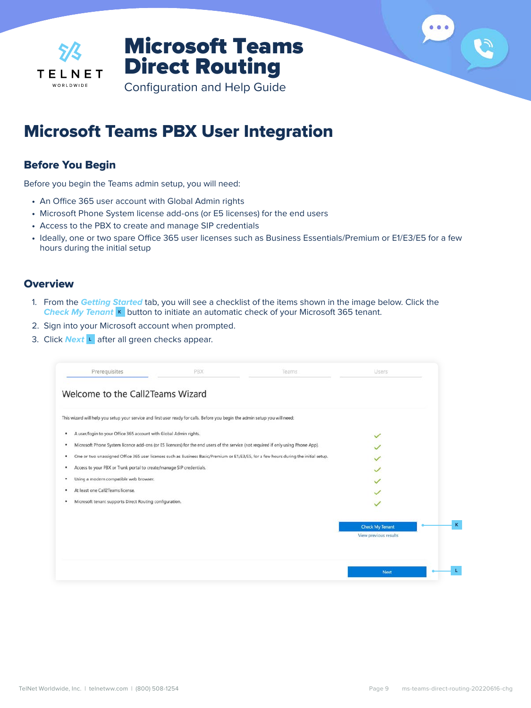<span id="page-8-0"></span>

Configuration and Help Guide

### Microsoft Teams PBX User Integration

### Before You Begin

Before you begin the Teams admin setup, you will need:

- **•** An Office 365 user account with Global Admin rights
- **•** Microsoft Phone System license add-ons (or E5 licenses) for the end users
- **•** Access to the PBX to create and manage SIP credentials
- **•** Ideally, one or two spare Office 365 user licenses such as Business Essentials/Premium or E1/E3/E5 for a few hours during the initial setup

### **Overview**

- 1. From the **Getting Started** tab, you will see a checklist of the items shown in the image below. Click the **Check My Tenant K** button to initiate an automatic check of your Microsoft 365 tenant.
- 2. Sign into your Microsoft account when prompted.
- 3. Click **Next L** after all green checks appear.

| Prerequisites                                                                                                                         | PBX | Teams                                                                                                                                | Users                  |   |
|---------------------------------------------------------------------------------------------------------------------------------------|-----|--------------------------------------------------------------------------------------------------------------------------------------|------------------------|---|
| Welcome to the Call2Teams Wizard                                                                                                      |     |                                                                                                                                      |                        |   |
| This wizard will help you setup your service and first user ready for calls. Before you begin the admin setup you will need:          |     |                                                                                                                                      |                        |   |
| A user/login to your Office 365 account with Global Admin rights.<br>٠                                                                |     |                                                                                                                                      | $\checkmark$           |   |
| Microsoft Phone System licence add-ons (or E5 licences) for the end users of the service (not required if only using Phone App).<br>٠ |     |                                                                                                                                      |                        |   |
| ٠                                                                                                                                     |     | One or two unassigned Office 365 user licenses such as Business Basic/Premium or E1/E3/E5, for a few hours during the initial setup. |                        |   |
| Access to your PBX or Trunk portal to create/manage SIP credentials.<br>٠                                                             |     |                                                                                                                                      |                        |   |
| Using a modern compatible web browser.<br>۰                                                                                           |     |                                                                                                                                      |                        |   |
| At least one Call2Teams license.                                                                                                      |     |                                                                                                                                      |                        |   |
| Microsoft tenant supports Direct Routing configuration.<br>٠                                                                          |     |                                                                                                                                      |                        |   |
|                                                                                                                                       |     |                                                                                                                                      | <b>Check My Tenant</b> | K |
|                                                                                                                                       |     |                                                                                                                                      | View previous results  |   |
|                                                                                                                                       |     |                                                                                                                                      |                        |   |
|                                                                                                                                       |     |                                                                                                                                      | <b>Next</b>            |   |

 $\bullet\bullet\bullet$ 

S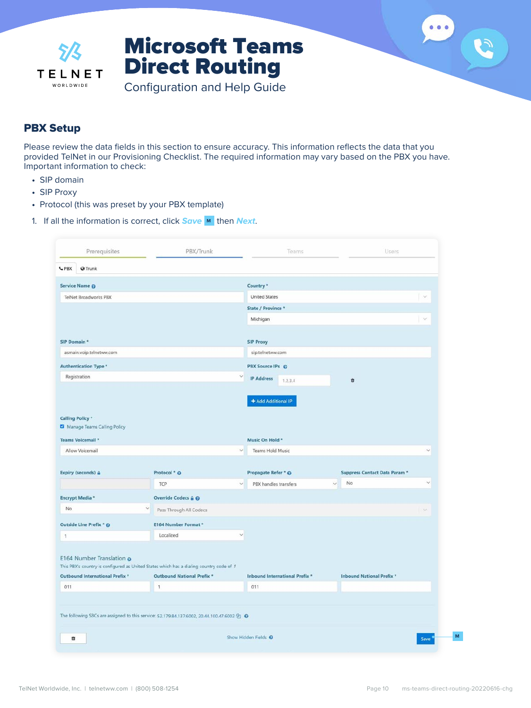<span id="page-9-0"></span>

Configuration and Help Guide

### PBX Setup

Please review the data fields in this section to ensure accuracy. This information reflects the data that you provided TelNet in our Provisioning Checklist. The required information may vary based on the PBX you have. Important information to check:

- **•** SIP domain
- **•** SIP Proxy
- **•** Protocol (this was preset by your PBX template)
- 1. If all the information is correct, click **Save M** then **Next**.

| Prerequisites                                                | PBX/Trunk                                                                                                             | Teams                                               | Users                            |                      |
|--------------------------------------------------------------|-----------------------------------------------------------------------------------------------------------------------|-----------------------------------------------------|----------------------------------|----------------------|
| CPBX<br>@ Trunk                                              |                                                                                                                       |                                                     |                                  |                      |
| Service Name @                                               |                                                                                                                       | Country <sup>*</sup>                                |                                  |                      |
| TelNet Broadworks PBX                                        |                                                                                                                       | <b>United States</b>                                |                                  | $\sim$               |
|                                                              |                                                                                                                       | State / Province *                                  |                                  |                      |
|                                                              |                                                                                                                       | Michigan                                            |                                  | $\sim$               |
| SIP Domain *                                                 |                                                                                                                       | <b>SIP Proxy</b>                                    |                                  |                      |
| asmain.voip.telnetww.com                                     |                                                                                                                       | sip.telnetww.com                                    |                                  |                      |
| <b>Authentication Type *</b>                                 |                                                                                                                       | PBX Source IPs @                                    |                                  |                      |
| Registration                                                 |                                                                                                                       | $\ddot{\mathbf{v}}$<br><b>IP Address</b><br>1.2.3.4 | Û                                |                      |
| <b>Calling Policy*</b><br>Manage Teams Calling Policy        |                                                                                                                       | + Add Additional IP                                 |                                  |                      |
| Teams Voicemail *                                            |                                                                                                                       | Music On Hold *                                     |                                  |                      |
| Allow Voicemail                                              |                                                                                                                       | <b>Teams Hold Music</b><br>×,                       |                                  | ÷,                   |
| Expiry (seconds) @                                           | Protocol * @                                                                                                          | Propagate Refer * @                                 | Suppress Contact Data Param *    | $\sim$               |
|                                                              | TCP                                                                                                                   | PBX handles transfers<br>$\checkmark$               | No.<br>$\overline{\phantom{a}}$  |                      |
| Encrypt Media *                                              | Override Codecs @ @                                                                                                   |                                                     |                                  |                      |
| No                                                           | $\checkmark$<br>Pass Through All Codecs                                                                               |                                                     |                                  | $\ddot{\phantom{1}}$ |
| Outside Line Prefix * @                                      | E164 Number Format *                                                                                                  |                                                     |                                  |                      |
| $\ddot{\phantom{1}}$                                         | Localized                                                                                                             | $\checkmark$                                        |                                  |                      |
| E164 Number Translation @<br>Outbound International Prefix * | This PBX's country is configured as United States which has a dialing country code of 1<br>Outbound National Prefix * | Inbound International Prefix *                      | <b>Inbound National Prefix *</b> |                      |
| 011                                                          | $\mathbf{1}$                                                                                                          | 011                                                 |                                  |                      |
|                                                              | The following SBCs are assigned to this service: 52.179.84.137:6002, 20.44.100.47:6002 @ 0                            |                                                     |                                  |                      |

 $\begin{array}{ccccc}\n\bullet & \bullet & \bullet & \bullet\n\end{array}$ 

S

**M**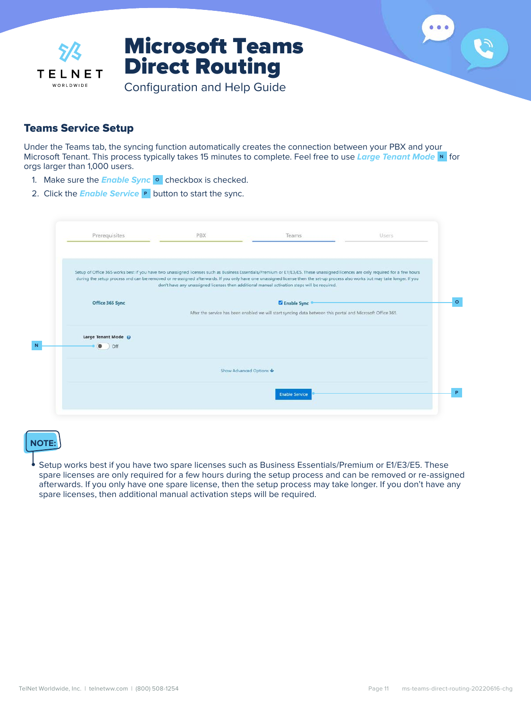<span id="page-10-0"></span>

### Teams Service Setup

Under the Teams tab, the syncing function automatically creates the connection between your PBX and your Microsoft Tenant. This process typically takes 15 minutes to complete. Feel free to use **Large Tenant Mode N** for orgs larger than 1,000 users.

- 1. Make sure the **Enable Sync O** checkbox is checked.
- 2. Click the **Enable Service P** button to start the sync.

| Prerequisites       | PBX | Teams                                                                                                                                                                                                                                                                         | Users |
|---------------------|-----|-------------------------------------------------------------------------------------------------------------------------------------------------------------------------------------------------------------------------------------------------------------------------------|-------|
|                     |     | Setup of Office 365 works best if you have two unassigned licenses such as Business Essentials/Premium or E1/E3/E5. These unassigned licences are only required for a few hours                                                                                               |       |
|                     |     | during the setup process and can be removed or re-assigned afterwards. If you only have one unassigned license then the set-up process also works but may take longer. If you<br>don't have any unassigned licenses then additional manual activation steps will be required. |       |
| Office 365 Sync     |     | <b>Z</b> Enable Sync                                                                                                                                                                                                                                                          |       |
|                     |     | After the service has been enabled we will start syncing data between this portal and Microsoft Office 365.                                                                                                                                                                   |       |
| Large Tenant Mode @ |     |                                                                                                                                                                                                                                                                               |       |
| $\bullet$<br>Off    |     |                                                                                                                                                                                                                                                                               |       |
|                     |     | Show Advanced Options                                                                                                                                                                                                                                                         |       |
|                     |     | <b>Enable Service</b>                                                                                                                                                                                                                                                         |       |
|                     |     |                                                                                                                                                                                                                                                                               |       |

### **NOTE:**

**•** Setup works best if you have two spare licenses such as Business Essentials/Premium or E1/E3/E5. These spare licenses are only required for a few hours during the setup process and can be removed or re-assigned afterwards. If you only have one spare license, then the setup process may take longer. If you don't have any spare licenses, then additional manual activation steps will be required.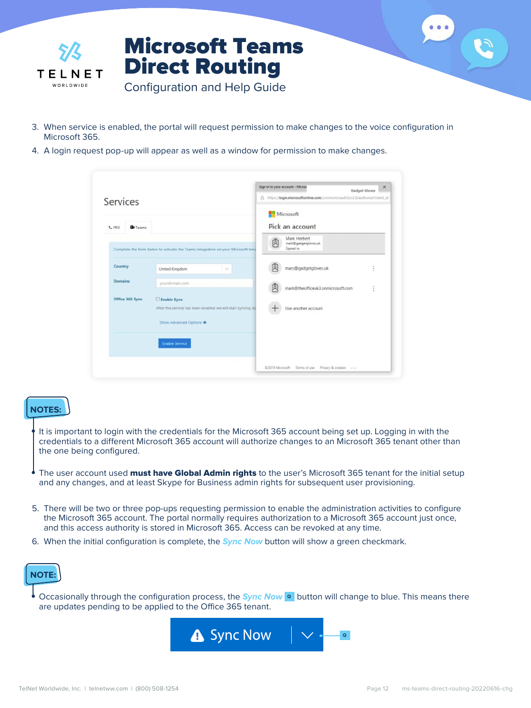

- 3. When service is enabled, the portal will request permission to make changes to the voice configuration in Microsoft 365.
- 4. A login request pop-up will appear as well as a window for permission to make changes.

| Services                       |                                                                                  |    | Sign in to your account - Micros<br>A https://login.microsoftonline.com/common/cauth2/v2.0/authorizeTclient_id | $\times$<br>Gadget Gloves |
|--------------------------------|----------------------------------------------------------------------------------|----|----------------------------------------------------------------------------------------------------------------|---------------------------|
| <b>D</b> Teams<br><b>L</b> PRX |                                                                                  |    | Microsoft<br>Pick an account                                                                                   |                           |
|                                | Complete the form below to activate the Teams integration on your Microsoft tent | 卤  | Mark Herbert<br>mark@gadgetgloves.uk<br>Signed in                                                              |                           |
| Country                        | United Kingdom<br>$\sim$                                                         |    | mary@gadgetgloves.uk                                                                                           | ł                         |
| <b>Domains</b>                 | yourdomain.com                                                                   | ΙA | mark@theofficeuk3.onmicrosoft.com                                                                              | ł                         |
| Office 365 Sync                | El Enable Sync<br>After the service has been enabled we will start syncing da    |    | Use another account                                                                                            |                           |
|                                | Show Advanced Options                                                            |    |                                                                                                                |                           |
|                                | <b>Enable Service</b>                                                            |    |                                                                                                                |                           |
|                                |                                                                                  |    | @2019 Microsoft Terms of use Privacy & cookies                                                                 |                           |

#### **NOTES:**

- **•** It is important to login with the credentials for the Microsoft 365 account being set up. Logging in with the credentials to a different Microsoft 365 account will authorize changes to an Microsoft 365 tenant other than the one being configured.
- The user account used **must have Global Admin rights** to the user's Microsoft 365 tenant for the initial setup and any changes, and at least Skype for Business admin rights for subsequent user provisioning.
- 5. There will be two or three pop-ups requesting permission to enable the administration activities to configure the Microsoft 365 account. The portal normally requires authorization to a Microsoft 365 account just once, and this access authority is stored in Microsoft 365. Access can be revoked at any time.
- 6. When the initial configuration is complete, the **Sync Now** button will show a green checkmark.



**•** Occasionally through the configuration process, the **Sync Now Q** button will change to blue. This means there are updates pending to be applied to the Office 365 tenant.

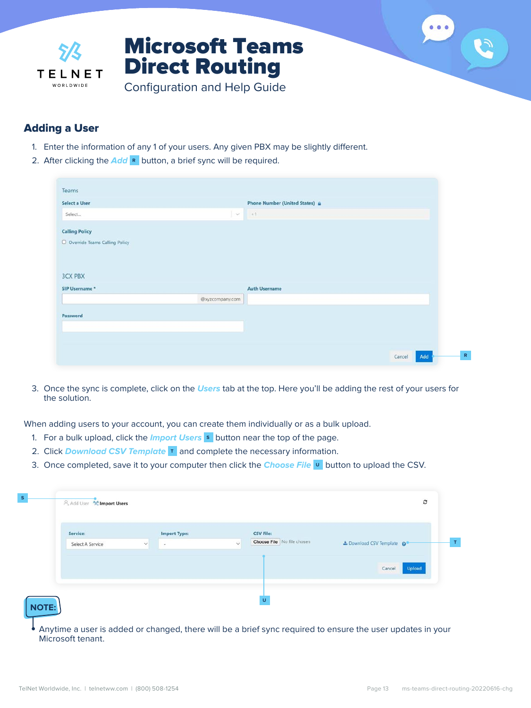<span id="page-12-0"></span>

### Adding a User

- 1. Enter the information of any 1 of your users. Any given PBX may be slightly different.
- 2. After clicking the **Add R** button, a brief sync will be required.

| Teams                           |                 |                                           |
|---------------------------------|-----------------|-------------------------------------------|
| Select a User                   |                 | <b>Phone Number (United States) &amp;</b> |
| Select                          | $\sim$          | $+1$                                      |
| <b>Calling Policy</b>           |                 |                                           |
| O Override Teams Calling Policy |                 |                                           |
|                                 |                 |                                           |
|                                 |                 |                                           |
|                                 |                 |                                           |
| <b>3CX PBX</b>                  |                 |                                           |
| SIP Username *                  |                 | <b>Auth Username</b>                      |
|                                 | @xyzcompany.com |                                           |
| Password                        |                 |                                           |
|                                 |                 |                                           |
|                                 |                 |                                           |
|                                 |                 | Add                                       |

3. Once the sync is complete, click on the **Users** tab at the top. Here you'll be adding the rest of your users for the solution.

When adding users to your account, you can create them individually or as a bulk upload.

- 1. For a bulk upload, click the **Import Users S** button near the top of the page.
- 2. Click **Download CSV Template T** and complete the necessary information.
- 3. Once completed, save it to your computer then click the **Choose File U** button to upload the CSV.

| Service:         | <b>Import Type:</b>                      | <b>CSV File:</b>                                   |                           |
|------------------|------------------------------------------|----------------------------------------------------|---------------------------|
| Select A Service | $\checkmark$<br>$\overline{\phantom{a}}$ | Choose File No file chosen<br>$\ddot{\phantom{1}}$ | ± Download CSV Template © |
|                  |                                          |                                                    |                           |
|                  |                                          |                                                    | Upload<br>Cancel          |
|                  |                                          |                                                    |                           |

**•** Anytime a user is added or changed, there will be a brief sync required to ensure the user updates in your Microsoft tenant.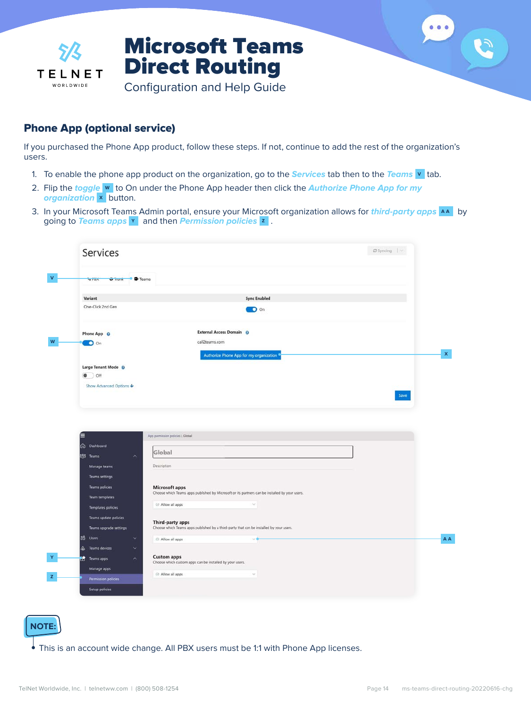<span id="page-13-0"></span>

### Phone App (optional service)

If you purchased the Phone App product, follow these steps. If not, continue to add the rest of the organization's users.

- 1. To enable the phone app product on the organization, go to the **Services** tab then to the **Teams V** tab.
- 2. Flip the **toggle W** to On under the Phone App header then click the **Authorize Phone App for my organization X** button.
- 3. In your Microsoft Teams Admin portal, ensure your Microsoft organization allows for **third-party apps AA** by going to **Teams apps Y** and then **Permission policies Z** .

| <b>SPBX</b><br><b>G</b> Trunk<br><b>B</b> Teams |                                                                                                |      |
|-------------------------------------------------|------------------------------------------------------------------------------------------------|------|
| Variant                                         | <b>Sync Enabled</b>                                                                            |      |
| One-Click 2nd Gen                               | O On                                                                                           |      |
| Phone App O                                     | <b>External Access Domain</b> ©                                                                |      |
| <b>O</b> On                                     | call2teams.com                                                                                 |      |
|                                                 | Authorize Phone App for my organization                                                        |      |
| Large Tenant Mode @                             |                                                                                                |      |
| $\bullet$ off                                   |                                                                                                |      |
| Show Advanced Options ↓                         |                                                                                                |      |
|                                                 |                                                                                                | Save |
|                                                 |                                                                                                |      |
|                                                 |                                                                                                |      |
|                                                 |                                                                                                |      |
|                                                 |                                                                                                |      |
| ▤                                               | App permission policies \ Global                                                               |      |
| CD Dashboard                                    |                                                                                                |      |
| <b>88 Teams</b><br>$\widehat{\phantom{a}}$      | Global                                                                                         |      |
| Manage teams                                    | Description                                                                                    |      |
| <b>Teams settings</b>                           |                                                                                                |      |
| <b>Teams policies</b>                           | <b>Microsoft apps</b>                                                                          |      |
| <b>Team templates</b>                           | Choose which Teams apps published by Microsoft or its partners can be installed by your users. |      |
| <b>Templates policies</b>                       | 2 Allow all apps<br>$\vee$                                                                     |      |
|                                                 |                                                                                                |      |
| Teams update policies                           | Third-party apps                                                                               |      |
| Teams upgrade settings<br>×.                    | Choose which Teams apps published by a third-party that can be installed by your users.        |      |
| 28 Users                                        | Allow all apps<br>50                                                                           |      |
| $\Delta$<br>Teams devices<br>$\ddot{ }$         |                                                                                                |      |
| Teams apps<br>$\lambda$<br>Manage apps          | <b>Custom apps</b><br>Choose which custom apps can be installed by your users.                 |      |

#### **NOTE:**

**•** This is an account wide change. All PBX users must be 1:1 with Phone App licenses.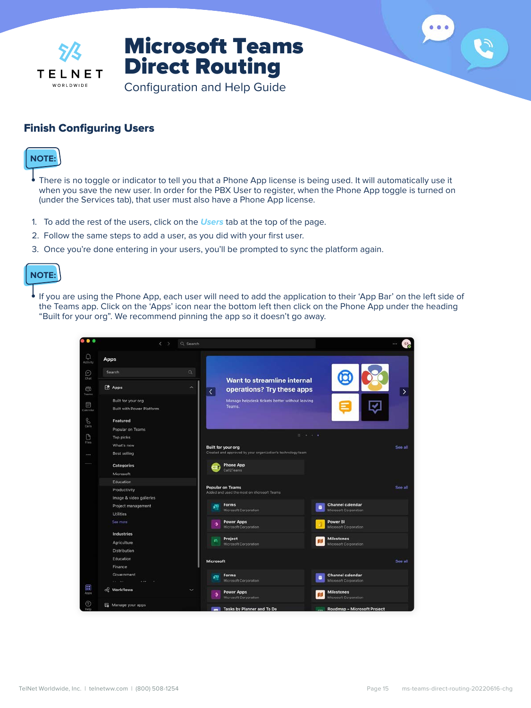<span id="page-14-0"></span>

Configuration and Help Guide

### Finish Configuring Users



- **•** There is no toggle or indicator to tell you that a Phone App license is being used. It will automatically use it when you save the new user. In order for the PBX User to register, when the Phone App toggle is turned on (under the Services tab), that user must also have a Phone App license.
- 1. To add the rest of the users, click on the **Users** tab at the top of the page.
- 2. Follow the same steps to add a user, as you did with your first user.
- 3. Once you're done entering in your users, you'll be prompted to sync the platform again.



**•** If you are using the Phone App, each user will need to add the application to their 'App Bar' on the left side of the Teams app. Click on the 'Apps' icon near the bottom left then click on the Phone App under the heading "Built for your org". We recommend pinning the app so it doesn't go away.

| $^{\circ}$             | $\langle$<br>Q Search                                  |                                                                                                                    |         |  |  |  |
|------------------------|--------------------------------------------------------|--------------------------------------------------------------------------------------------------------------------|---------|--|--|--|
| Q<br>Activity          | Apps                                                   |                                                                                                                    |         |  |  |  |
| ⊕<br>Chat              | $\mathsf Q$<br>Search                                  | Want to streamline internal                                                                                        |         |  |  |  |
| ces.<br>Teams          | <b>PA</b> Apps<br>́                                    | operations? Try these apps<br>$\vert$                                                                              | ⋗       |  |  |  |
| 同<br>Catendar          | Built for your org<br><b>Built with Power Platform</b> | Manage helpdesk tickets better without leaving<br>Teams.                                                           |         |  |  |  |
| $\mathcal{C}$<br>Calls | Featured<br>Popular on Teams                           |                                                                                                                    |         |  |  |  |
| O<br>Files             | Top picks<br>What's new                                | 10<br><b>Built for your org</b>                                                                                    | See all |  |  |  |
|                        | Best selling                                           | Created and approved by your organization's technology team                                                        |         |  |  |  |
|                        | <b>Categories</b><br>Microsoft                         | <b>Phone App</b><br>Call2Teams                                                                                     |         |  |  |  |
|                        | Education<br>Productivity                              | <b>Popular on Teams</b>                                                                                            | See all |  |  |  |
|                        | Image & video galleries                                | Added and used the most on Microsoft Teams                                                                         |         |  |  |  |
|                        | Project management<br>Utilities                        | <b>Channel calendar</b><br>Forms<br>æ<br>a<br>Microsoft Corporation<br>Microsoft Corporation                       |         |  |  |  |
|                        | See more                                               | <b>Power Apps</b><br>Power BI<br>Microsoft Corporation<br>Microsoft Corporation                                    |         |  |  |  |
|                        | Industries<br>Agriculture                              | Project<br><b>Milestones</b><br>m,<br>Microsoft Corporation<br>Microsoft Corporation                               |         |  |  |  |
|                        | <b>Distribution</b><br>Education                       | <b>Microsoft</b>                                                                                                   |         |  |  |  |
|                        | Finance<br>Government                                  | <b>Channel calendar</b><br><b>Forms</b><br>ую                                                                      |         |  |  |  |
| Œ                      | and they<br>$1 - 100$<br>co Workflows<br>$\checkmark$  | Microsoft Corporation<br>Microsoft Corporation<br><b>Power Apps</b><br><b>Milestones</b>                           |         |  |  |  |
| $\circledcirc$<br>Help | Manage your apps                                       | Microsoft Corporation<br>Microsoft Corporation<br>Tasks by Planner and To Do<br><b>Roadmap - Microsoft Project</b> |         |  |  |  |

 $000$